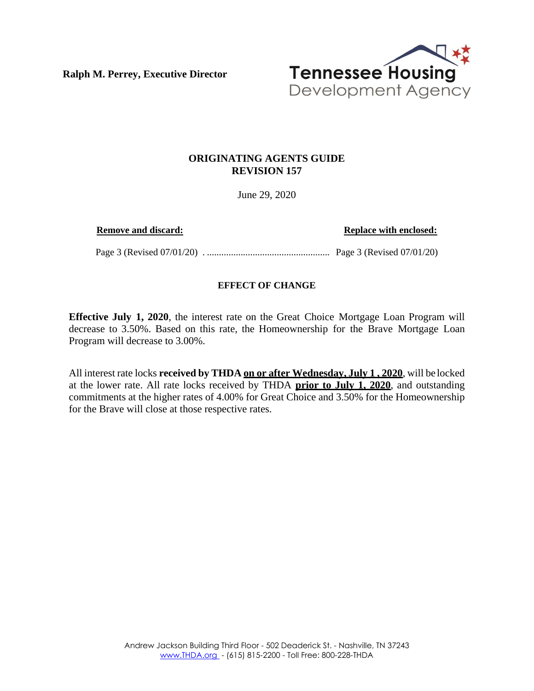**Ralph M. Perrey, Executive Director**



## **ORIGINATING AGENTS GUIDE REVISION 157**

June 29, 2020

**Remove and discard: Replace with enclosed:**

Page 3 (Revised 07/01/20) . ................................................... Page 3 (Revised 07/01/20)

## **EFFECT OF CHANGE**

**Effective July 1, 2020**, the interest rate on the Great Choice Mortgage Loan Program will decrease to 3.50%. Based on this rate, the Homeownership for the Brave Mortgage Loan Program will decrease to 3.00%.

All interest rate locks **received by THDA on or after Wednesday, July 1 , 2020**, will be locked at the lower rate. All rate locks received by THDA **prior to July 1, 2020**, and outstanding commitments at the higher rates of 4.00% for Great Choice and 3.50% for the Homeownership for the Brave will close at those respective rates.